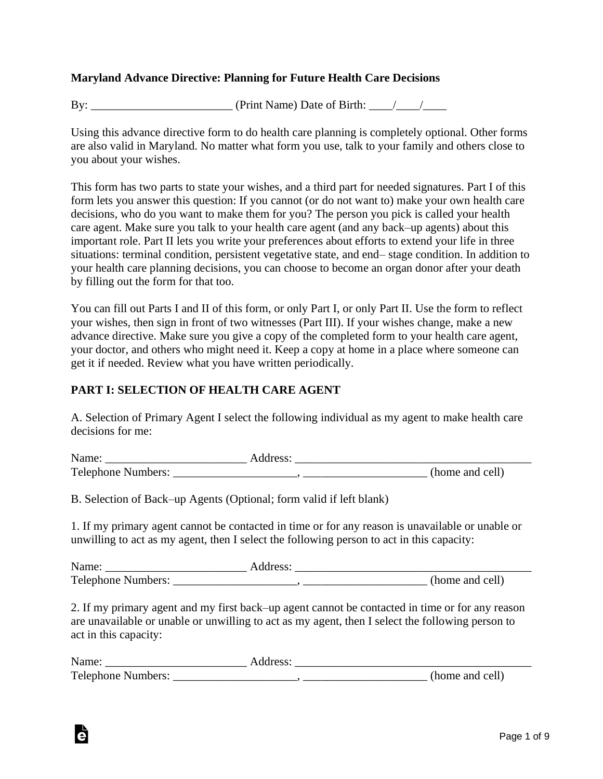## **Maryland Advance Directive: Planning for Future Health Care Decisions**

By: \_\_\_\_\_\_\_\_\_\_\_\_\_\_\_\_\_\_\_\_\_\_\_\_\_\_(Print Name) Date of Birth: \_\_\_\_/\_\_\_\_/\_\_\_\_\_\_\_\_\_\_\_\_\_

Using this advance directive form to do health care planning is completely optional. Other forms are also valid in Maryland. No matter what form you use, talk to your family and others close to you about your wishes.

This form has two parts to state your wishes, and a third part for needed signatures. Part I of this form lets you answer this question: If you cannot (or do not want to) make your own health care decisions, who do you want to make them for you? The person you pick is called your health care agent. Make sure you talk to your health care agent (and any back–up agents) about this important role. Part II lets you write your preferences about efforts to extend your life in three situations: terminal condition, persistent vegetative state, and end– stage condition. In addition to your health care planning decisions, you can choose to become an organ donor after your death by filling out the form for that too.

You can fill out Parts I and II of this form, or only Part I, or only Part II. Use the form to reflect your wishes, then sign in front of two witnesses (Part III). If your wishes change, make a new advance directive. Make sure you give a copy of the completed form to your health care agent, your doctor, and others who might need it. Keep a copy at home in a place where someone can get it if needed. Review what you have written periodically.

#### **PART I: SELECTION OF HEALTH CARE AGENT**

Ġ

A. Selection of Primary Agent I select the following individual as my agent to make health care decisions for me:

Name: \_\_\_\_\_\_\_\_\_\_\_\_\_\_\_\_\_\_\_\_\_\_\_\_ Address: \_\_\_\_\_\_\_\_\_\_\_\_\_\_\_\_\_\_\_\_\_\_\_\_\_\_\_\_\_\_\_\_\_\_\_\_\_\_\_\_ Telephone Numbers: \_\_\_\_\_\_\_\_\_\_\_\_\_\_\_\_\_\_\_\_\_, \_\_\_\_\_\_\_\_\_\_\_\_\_\_\_\_\_\_\_\_\_ (home and cell)

B. Selection of Back–up Agents (Optional; form valid if left blank)

1. If my primary agent cannot be contacted in time or for any reason is unavailable or unable or unwilling to act as my agent, then I select the following person to act in this capacity:

| Name:              |                           |
|--------------------|---------------------------|
| Telephone Numbers: | -11<br>and cell<br>home ! |

2. If my primary agent and my first back–up agent cannot be contacted in time or for any reason are unavailable or unable or unwilling to act as my agent, then I select the following person to act in this capacity:

| Name                 |                |
|----------------------|----------------|
| Telephone<br>Numbers | (home and cell |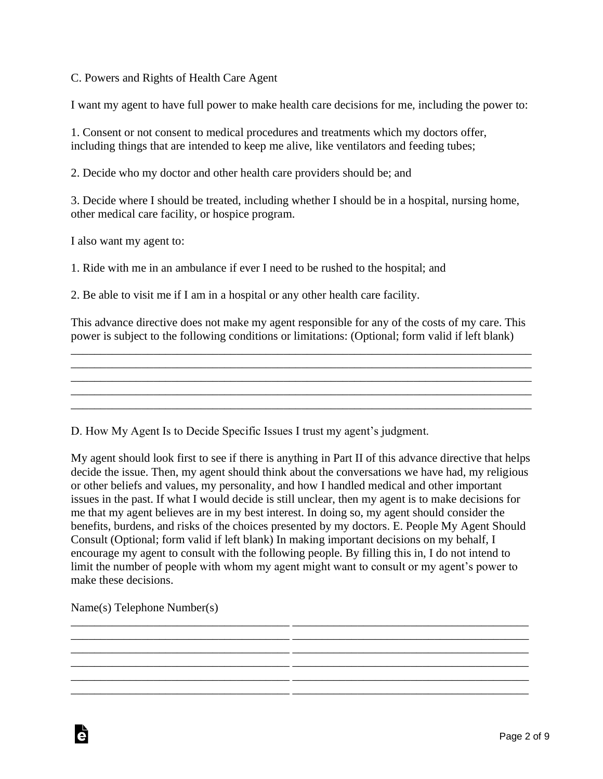C. Powers and Rights of Health Care Agent

I want my agent to have full power to make health care decisions for me, including the power to:

1. Consent or not consent to medical procedures and treatments which my doctors offer, including things that are intended to keep me alive, like ventilators and feeding tubes;

2. Decide who my doctor and other health care providers should be; and

3. Decide where I should be treated, including whether I should be in a hospital, nursing home, other medical care facility, or hospice program.

I also want my agent to:

1. Ride with me in an ambulance if ever I need to be rushed to the hospital; and

2. Be able to visit me if I am in a hospital or any other health care facility.

This advance directive does not make my agent responsible for any of the costs of my care. This power is subject to the following conditions or limitations: (Optional; form valid if left blank)

\_\_\_\_\_\_\_\_\_\_\_\_\_\_\_\_\_\_\_\_\_\_\_\_\_\_\_\_\_\_\_\_\_\_\_\_\_\_\_\_\_\_\_\_\_\_\_\_\_\_\_\_\_\_\_\_\_\_\_\_\_\_\_\_\_\_\_\_\_\_\_\_\_\_\_\_\_\_ \_\_\_\_\_\_\_\_\_\_\_\_\_\_\_\_\_\_\_\_\_\_\_\_\_\_\_\_\_\_\_\_\_\_\_\_\_\_\_\_\_\_\_\_\_\_\_\_\_\_\_\_\_\_\_\_\_\_\_\_\_\_\_\_\_\_\_\_\_\_\_\_\_\_\_\_\_\_ \_\_\_\_\_\_\_\_\_\_\_\_\_\_\_\_\_\_\_\_\_\_\_\_\_\_\_\_\_\_\_\_\_\_\_\_\_\_\_\_\_\_\_\_\_\_\_\_\_\_\_\_\_\_\_\_\_\_\_\_\_\_\_\_\_\_\_\_\_\_\_\_\_\_\_\_\_\_ \_\_\_\_\_\_\_\_\_\_\_\_\_\_\_\_\_\_\_\_\_\_\_\_\_\_\_\_\_\_\_\_\_\_\_\_\_\_\_\_\_\_\_\_\_\_\_\_\_\_\_\_\_\_\_\_\_\_\_\_\_\_\_\_\_\_\_\_\_\_\_\_\_\_\_\_\_\_ \_\_\_\_\_\_\_\_\_\_\_\_\_\_\_\_\_\_\_\_\_\_\_\_\_\_\_\_\_\_\_\_\_\_\_\_\_\_\_\_\_\_\_\_\_\_\_\_\_\_\_\_\_\_\_\_\_\_\_\_\_\_\_\_\_\_\_\_\_\_\_\_\_\_\_\_\_\_

D. How My Agent Is to Decide Specific Issues I trust my agent's judgment.

My agent should look first to see if there is anything in Part II of this advance directive that helps decide the issue. Then, my agent should think about the conversations we have had, my religious or other beliefs and values, my personality, and how I handled medical and other important issues in the past. If what I would decide is still unclear, then my agent is to make decisions for me that my agent believes are in my best interest. In doing so, my agent should consider the benefits, burdens, and risks of the choices presented by my doctors. E. People My Agent Should Consult (Optional; form valid if left blank) In making important decisions on my behalf, I encourage my agent to consult with the following people. By filling this in, I do not intend to limit the number of people with whom my agent might want to consult or my agent's power to make these decisions.

\_\_\_\_\_\_\_\_\_\_\_\_\_\_\_\_\_\_\_\_\_\_\_\_\_\_\_\_\_\_\_\_\_\_\_\_\_ \_\_\_\_\_\_\_\_\_\_\_\_\_\_\_\_\_\_\_\_\_\_\_\_\_\_\_\_\_\_\_\_\_\_\_\_\_\_\_\_ \_\_\_\_\_\_\_\_\_\_\_\_\_\_\_\_\_\_\_\_\_\_\_\_\_\_\_\_\_\_\_\_\_\_\_\_\_ \_\_\_\_\_\_\_\_\_\_\_\_\_\_\_\_\_\_\_\_\_\_\_\_\_\_\_\_\_\_\_\_\_\_\_\_\_\_\_\_

\_\_\_\_\_\_\_\_\_\_\_\_\_\_\_\_\_\_\_\_\_\_\_\_\_\_\_\_\_\_\_\_\_\_\_\_\_ \_\_\_\_\_\_\_\_\_\_\_\_\_\_\_\_\_\_\_\_\_\_\_\_\_\_\_\_\_\_\_\_\_\_\_\_\_\_\_\_ \_\_\_\_\_\_\_\_\_\_\_\_\_\_\_\_\_\_\_\_\_\_\_\_\_\_\_\_\_\_\_\_\_\_\_\_\_ \_\_\_\_\_\_\_\_\_\_\_\_\_\_\_\_\_\_\_\_\_\_\_\_\_\_\_\_\_\_\_\_\_\_\_\_\_\_\_\_ \_\_\_\_\_\_\_\_\_\_\_\_\_\_\_\_\_\_\_\_\_\_\_\_\_\_\_\_\_\_\_\_\_\_\_\_\_ \_\_\_\_\_\_\_\_\_\_\_\_\_\_\_\_\_\_\_\_\_\_\_\_\_\_\_\_\_\_\_\_\_\_\_\_\_\_\_\_

Name(s) Telephone Number(s)

Ġ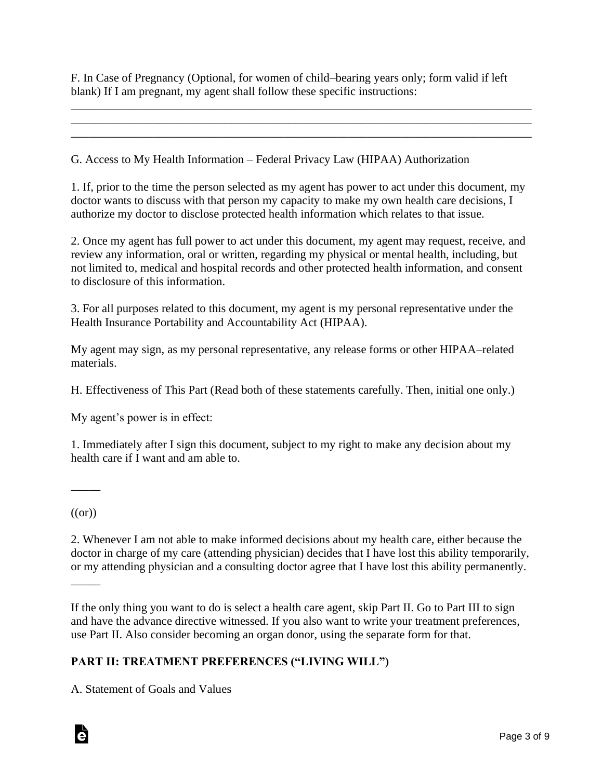F. In Case of Pregnancy (Optional, for women of child–bearing years only; form valid if left blank) If I am pregnant, my agent shall follow these specific instructions:

\_\_\_\_\_\_\_\_\_\_\_\_\_\_\_\_\_\_\_\_\_\_\_\_\_\_\_\_\_\_\_\_\_\_\_\_\_\_\_\_\_\_\_\_\_\_\_\_\_\_\_\_\_\_\_\_\_\_\_\_\_\_\_\_\_\_\_\_\_\_\_\_\_\_\_\_\_\_ \_\_\_\_\_\_\_\_\_\_\_\_\_\_\_\_\_\_\_\_\_\_\_\_\_\_\_\_\_\_\_\_\_\_\_\_\_\_\_\_\_\_\_\_\_\_\_\_\_\_\_\_\_\_\_\_\_\_\_\_\_\_\_\_\_\_\_\_\_\_\_\_\_\_\_\_\_\_ \_\_\_\_\_\_\_\_\_\_\_\_\_\_\_\_\_\_\_\_\_\_\_\_\_\_\_\_\_\_\_\_\_\_\_\_\_\_\_\_\_\_\_\_\_\_\_\_\_\_\_\_\_\_\_\_\_\_\_\_\_\_\_\_\_\_\_\_\_\_\_\_\_\_\_\_\_\_

G. Access to My Health Information – Federal Privacy Law (HIPAA) Authorization

1. If, prior to the time the person selected as my agent has power to act under this document, my doctor wants to discuss with that person my capacity to make my own health care decisions, I authorize my doctor to disclose protected health information which relates to that issue.

2. Once my agent has full power to act under this document, my agent may request, receive, and review any information, oral or written, regarding my physical or mental health, including, but not limited to, medical and hospital records and other protected health information, and consent to disclosure of this information.

3. For all purposes related to this document, my agent is my personal representative under the Health Insurance Portability and Accountability Act (HIPAA).

My agent may sign, as my personal representative, any release forms or other HIPAA–related materials.

H. Effectiveness of This Part (Read both of these statements carefully. Then, initial one only.)

My agent's power is in effect:

1. Immediately after I sign this document, subject to my right to make any decision about my health care if I want and am able to.

 $( (or) )$ 

 $\overline{\phantom{a}}$ 

Ġ

 $\overline{\phantom{a}}$ 

2. Whenever I am not able to make informed decisions about my health care, either because the doctor in charge of my care (attending physician) decides that I have lost this ability temporarily, or my attending physician and a consulting doctor agree that I have lost this ability permanently.

If the only thing you want to do is select a health care agent, skip Part II. Go to Part III to sign and have the advance directive witnessed. If you also want to write your treatment preferences, use Part II. Also consider becoming an organ donor, using the separate form for that.

# **PART II: TREATMENT PREFERENCES ("LIVING WILL")**

A. Statement of Goals and Values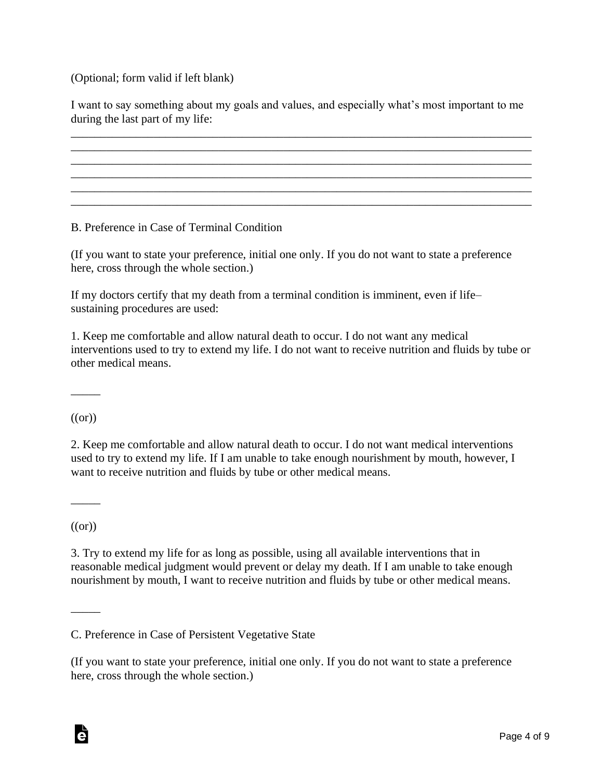(Optional; form valid if left blank)

I want to say something about my goals and values, and especially what's most important to me during the last part of my life:

\_\_\_\_\_\_\_\_\_\_\_\_\_\_\_\_\_\_\_\_\_\_\_\_\_\_\_\_\_\_\_\_\_\_\_\_\_\_\_\_\_\_\_\_\_\_\_\_\_\_\_\_\_\_\_\_\_\_\_\_\_\_\_\_\_\_\_\_\_\_\_\_\_\_\_\_\_\_ \_\_\_\_\_\_\_\_\_\_\_\_\_\_\_\_\_\_\_\_\_\_\_\_\_\_\_\_\_\_\_\_\_\_\_\_\_\_\_\_\_\_\_\_\_\_\_\_\_\_\_\_\_\_\_\_\_\_\_\_\_\_\_\_\_\_\_\_\_\_\_\_\_\_\_\_\_\_ \_\_\_\_\_\_\_\_\_\_\_\_\_\_\_\_\_\_\_\_\_\_\_\_\_\_\_\_\_\_\_\_\_\_\_\_\_\_\_\_\_\_\_\_\_\_\_\_\_\_\_\_\_\_\_\_\_\_\_\_\_\_\_\_\_\_\_\_\_\_\_\_\_\_\_\_\_\_ \_\_\_\_\_\_\_\_\_\_\_\_\_\_\_\_\_\_\_\_\_\_\_\_\_\_\_\_\_\_\_\_\_\_\_\_\_\_\_\_\_\_\_\_\_\_\_\_\_\_\_\_\_\_\_\_\_\_\_\_\_\_\_\_\_\_\_\_\_\_\_\_\_\_\_\_\_\_ \_\_\_\_\_\_\_\_\_\_\_\_\_\_\_\_\_\_\_\_\_\_\_\_\_\_\_\_\_\_\_\_\_\_\_\_\_\_\_\_\_\_\_\_\_\_\_\_\_\_\_\_\_\_\_\_\_\_\_\_\_\_\_\_\_\_\_\_\_\_\_\_\_\_\_\_\_\_ \_\_\_\_\_\_\_\_\_\_\_\_\_\_\_\_\_\_\_\_\_\_\_\_\_\_\_\_\_\_\_\_\_\_\_\_\_\_\_\_\_\_\_\_\_\_\_\_\_\_\_\_\_\_\_\_\_\_\_\_\_\_\_\_\_\_\_\_\_\_\_\_\_\_\_\_\_\_

B. Preference in Case of Terminal Condition

(If you want to state your preference, initial one only. If you do not want to state a preference here, cross through the whole section.)

If my doctors certify that my death from a terminal condition is imminent, even if life– sustaining procedures are used:

1. Keep me comfortable and allow natural death to occur. I do not want any medical interventions used to try to extend my life. I do not want to receive nutrition and fluids by tube or other medical means.

 $((or))$ 

 $\overline{\phantom{a}}$ 

2. Keep me comfortable and allow natural death to occur. I do not want medical interventions used to try to extend my life. If I am unable to take enough nourishment by mouth, however, I want to receive nutrition and fluids by tube or other medical means.

 $( (or) )$ 

 $\overline{\phantom{a}}$ 

à

 $\overline{\phantom{a}}$ 

3. Try to extend my life for as long as possible, using all available interventions that in reasonable medical judgment would prevent or delay my death. If I am unable to take enough nourishment by mouth, I want to receive nutrition and fluids by tube or other medical means.

(If you want to state your preference, initial one only. If you do not want to state a preference here, cross through the whole section.)

C. Preference in Case of Persistent Vegetative State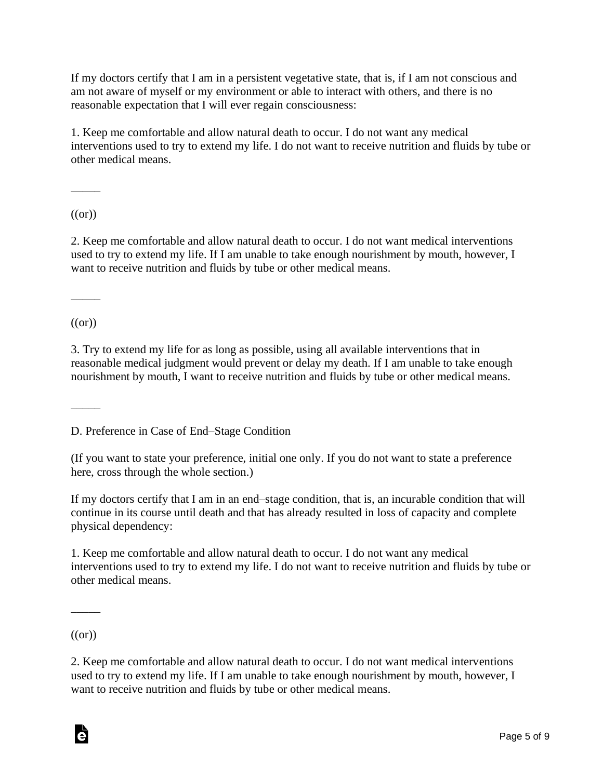If my doctors certify that I am in a persistent vegetative state, that is, if I am not conscious and am not aware of myself or my environment or able to interact with others, and there is no reasonable expectation that I will ever regain consciousness:

1. Keep me comfortable and allow natural death to occur. I do not want any medical interventions used to try to extend my life. I do not want to receive nutrition and fluids by tube or other medical means.

 $( (or) )$ 

 $\overline{\phantom{a}}$ 

2. Keep me comfortable and allow natural death to occur. I do not want medical interventions used to try to extend my life. If I am unable to take enough nourishment by mouth, however, I want to receive nutrition and fluids by tube or other medical means.

 $( (or) )$ 

 $\overline{\phantom{a}}$ 

 $\overline{\phantom{a}}$ 

3. Try to extend my life for as long as possible, using all available interventions that in reasonable medical judgment would prevent or delay my death. If I am unable to take enough nourishment by mouth, I want to receive nutrition and fluids by tube or other medical means.

D. Preference in Case of End–Stage Condition

(If you want to state your preference, initial one only. If you do not want to state a preference here, cross through the whole section.)

If my doctors certify that I am in an end–stage condition, that is, an incurable condition that will continue in its course until death and that has already resulted in loss of capacity and complete physical dependency:

1. Keep me comfortable and allow natural death to occur. I do not want any medical interventions used to try to extend my life. I do not want to receive nutrition and fluids by tube or other medical means.

 $( (or) )$ 

Ġ

 $\overline{\phantom{a}}$ 

2. Keep me comfortable and allow natural death to occur. I do not want medical interventions used to try to extend my life. If I am unable to take enough nourishment by mouth, however, I want to receive nutrition and fluids by tube or other medical means.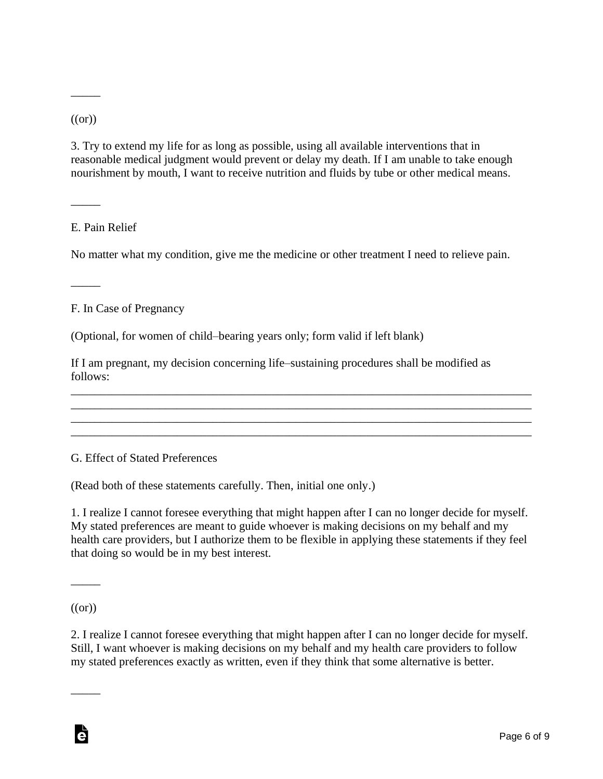$( (or) )$ 

 $\overline{\phantom{a}}$ 

 $\overline{\phantom{a}}$ 

 $\overline{\phantom{a}}$ 

3. Try to extend my life for as long as possible, using all available interventions that in reasonable medical judgment would prevent or delay my death. If I am unable to take enough nourishment by mouth, I want to receive nutrition and fluids by tube or other medical means.

E. Pain Relief

No matter what my condition, give me the medicine or other treatment I need to relieve pain.

F. In Case of Pregnancy

(Optional, for women of child–bearing years only; form valid if left blank)

If I am pregnant, my decision concerning life–sustaining procedures shall be modified as follows:

\_\_\_\_\_\_\_\_\_\_\_\_\_\_\_\_\_\_\_\_\_\_\_\_\_\_\_\_\_\_\_\_\_\_\_\_\_\_\_\_\_\_\_\_\_\_\_\_\_\_\_\_\_\_\_\_\_\_\_\_\_\_\_\_\_\_\_\_\_\_\_\_\_\_\_\_\_\_ \_\_\_\_\_\_\_\_\_\_\_\_\_\_\_\_\_\_\_\_\_\_\_\_\_\_\_\_\_\_\_\_\_\_\_\_\_\_\_\_\_\_\_\_\_\_\_\_\_\_\_\_\_\_\_\_\_\_\_\_\_\_\_\_\_\_\_\_\_\_\_\_\_\_\_\_\_\_

\_\_\_\_\_\_\_\_\_\_\_\_\_\_\_\_\_\_\_\_\_\_\_\_\_\_\_\_\_\_\_\_\_\_\_\_\_\_\_\_\_\_\_\_\_\_\_\_\_\_\_\_\_\_\_\_\_\_\_\_\_\_\_\_\_\_\_\_\_\_\_\_\_\_\_\_\_\_

## G. Effect of Stated Preferences

(Read both of these statements carefully. Then, initial one only.)

1. I realize I cannot foresee everything that might happen after I can no longer decide for myself. My stated preferences are meant to guide whoever is making decisions on my behalf and my health care providers, but I authorize them to be flexible in applying these statements if they feel that doing so would be in my best interest.

 $( (or) )$ 

 $\overline{\phantom{a}}$ 

Ġ

 $\overline{\phantom{a}}$ 

2. I realize I cannot foresee everything that might happen after I can no longer decide for myself. Still, I want whoever is making decisions on my behalf and my health care providers to follow my stated preferences exactly as written, even if they think that some alternative is better.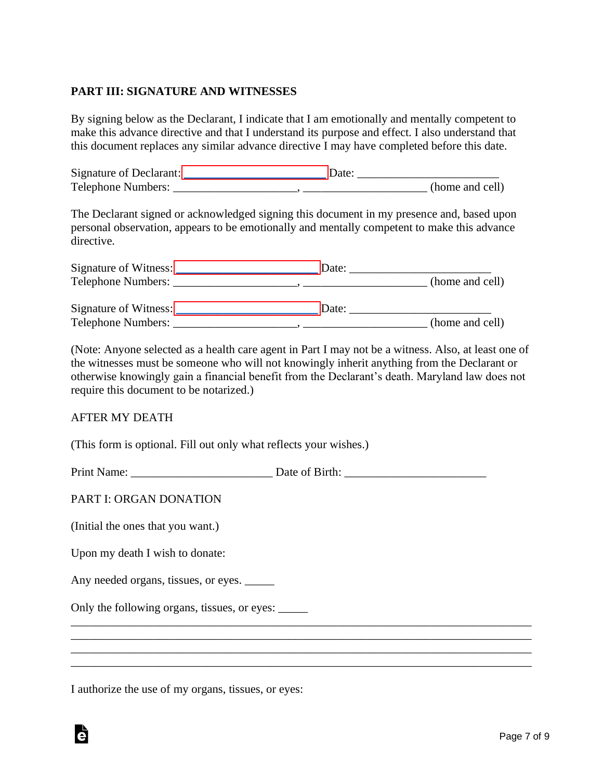## **PART III: SIGNATURE AND WITNESSES**

By signing below as the Declarant, I indicate that I am emotionally and mentally competent to make this advance directive and that I understand its purpose and effect. I also understand that this document replaces any similar advance directive I may have completed before this date.

| Signature of Declarant:   | Date: |                 |
|---------------------------|-------|-----------------|
| <b>Telephone Numbers:</b> |       | (home and cell) |

The Declarant signed or acknowledged signing this document in my presence and, based upon personal observation, appears to be emotionally and mentally competent to make this advance directive.

| Signature of Witness: | Date: |                 |
|-----------------------|-------|-----------------|
| Telephone Numbers:    |       | (home and cell) |
| Signature of Witness: | Date: |                 |
| Telephone Numbers:    |       | (home and cell) |

(Note: Anyone selected as a health care agent in Part I may not be a witness. Also, at least one of the witnesses must be someone who will not knowingly inherit anything from the Declarant or otherwise knowingly gain a financial benefit from the Declarant's death. Maryland law does not require this document to be notarized.)

\_\_\_\_\_\_\_\_\_\_\_\_\_\_\_\_\_\_\_\_\_\_\_\_\_\_\_\_\_\_\_\_\_\_\_\_\_\_\_\_\_\_\_\_\_\_\_\_\_\_\_\_\_\_\_\_\_\_\_\_\_\_\_\_\_\_\_\_\_\_\_\_\_\_\_\_\_\_ \_\_\_\_\_\_\_\_\_\_\_\_\_\_\_\_\_\_\_\_\_\_\_\_\_\_\_\_\_\_\_\_\_\_\_\_\_\_\_\_\_\_\_\_\_\_\_\_\_\_\_\_\_\_\_\_\_\_\_\_\_\_\_\_\_\_\_\_\_\_\_\_\_\_\_\_\_\_

## AFTER MY DEATH

(This form is optional. Fill out only what reflects your wishes.)

Print Name: Date of Birth:

PART I: ORGAN DONATION

(Initial the ones that you want.)

Upon my death I wish to donate:

Any needed organs, tissues, or eyes.

Only the following organs, tissues, or eyes:  $\frac{1}{\sqrt{1-\frac{1}{n}}}\right.$ 

I authorize the use of my organs, tissues, or eyes: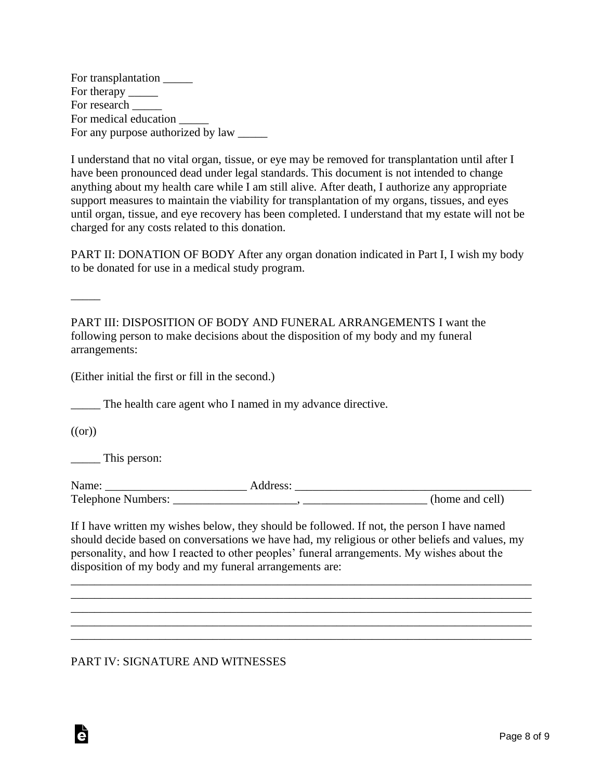For transplantation \_\_\_\_\_\_ For therapy \_\_\_\_\_\_ For research For medical education For any purpose authorized by law \_\_\_\_\_\_\_

I understand that no vital organ, tissue, or eye may be removed for transplantation until after I have been pronounced dead under legal standards. This document is not intended to change anything about my health care while I am still alive. After death, I authorize any appropriate support measures to maintain the viability for transplantation of my organs, tissues, and eyes until organ, tissue, and eye recovery has been completed. I understand that my estate will not be charged for any costs related to this donation.

PART II: DONATION OF BODY After any organ donation indicated in Part I, I wish my body to be donated for use in a medical study program.

PART III: DISPOSITION OF BODY AND FUNERAL ARRANGEMENTS I want the following person to make decisions about the disposition of my body and my funeral arrangements:

(Either initial the first or fill in the second.)

\_\_\_\_\_ The health care agent who I named in my advance directive.

 $( (or) )$ 

Ġ

 $\overline{\phantom{a}}$ 

\_\_\_\_\_ This person:

Name: \_\_\_\_\_\_\_\_\_\_\_\_\_\_\_\_\_\_\_\_\_\_\_\_ Address: \_\_\_\_\_\_\_\_\_\_\_\_\_\_\_\_\_\_\_\_\_\_\_\_\_\_\_\_\_\_\_\_\_\_\_\_\_\_\_\_ Telephone Numbers: \_\_\_\_\_\_\_\_\_\_\_\_\_\_\_\_\_\_\_\_\_, \_\_\_\_\_\_\_\_\_\_\_\_\_\_\_\_\_\_\_\_\_ (home and cell)

If I have written my wishes below, they should be followed. If not, the person I have named should decide based on conversations we have had, my religious or other beliefs and values, my personality, and how I reacted to other peoples' funeral arrangements. My wishes about the disposition of my body and my funeral arrangements are:

\_\_\_\_\_\_\_\_\_\_\_\_\_\_\_\_\_\_\_\_\_\_\_\_\_\_\_\_\_\_\_\_\_\_\_\_\_\_\_\_\_\_\_\_\_\_\_\_\_\_\_\_\_\_\_\_\_\_\_\_\_\_\_\_\_\_\_\_\_\_\_\_\_\_\_\_\_\_ \_\_\_\_\_\_\_\_\_\_\_\_\_\_\_\_\_\_\_\_\_\_\_\_\_\_\_\_\_\_\_\_\_\_\_\_\_\_\_\_\_\_\_\_\_\_\_\_\_\_\_\_\_\_\_\_\_\_\_\_\_\_\_\_\_\_\_\_\_\_\_\_\_\_\_\_\_\_ \_\_\_\_\_\_\_\_\_\_\_\_\_\_\_\_\_\_\_\_\_\_\_\_\_\_\_\_\_\_\_\_\_\_\_\_\_\_\_\_\_\_\_\_\_\_\_\_\_\_\_\_\_\_\_\_\_\_\_\_\_\_\_\_\_\_\_\_\_\_\_\_\_\_\_\_\_\_ \_\_\_\_\_\_\_\_\_\_\_\_\_\_\_\_\_\_\_\_\_\_\_\_\_\_\_\_\_\_\_\_\_\_\_\_\_\_\_\_\_\_\_\_\_\_\_\_\_\_\_\_\_\_\_\_\_\_\_\_\_\_\_\_\_\_\_\_\_\_\_\_\_\_\_\_\_\_ \_\_\_\_\_\_\_\_\_\_\_\_\_\_\_\_\_\_\_\_\_\_\_\_\_\_\_\_\_\_\_\_\_\_\_\_\_\_\_\_\_\_\_\_\_\_\_\_\_\_\_\_\_\_\_\_\_\_\_\_\_\_\_\_\_\_\_\_\_\_\_\_\_\_\_\_\_\_

PART IV: SIGNATURE AND WITNESSES